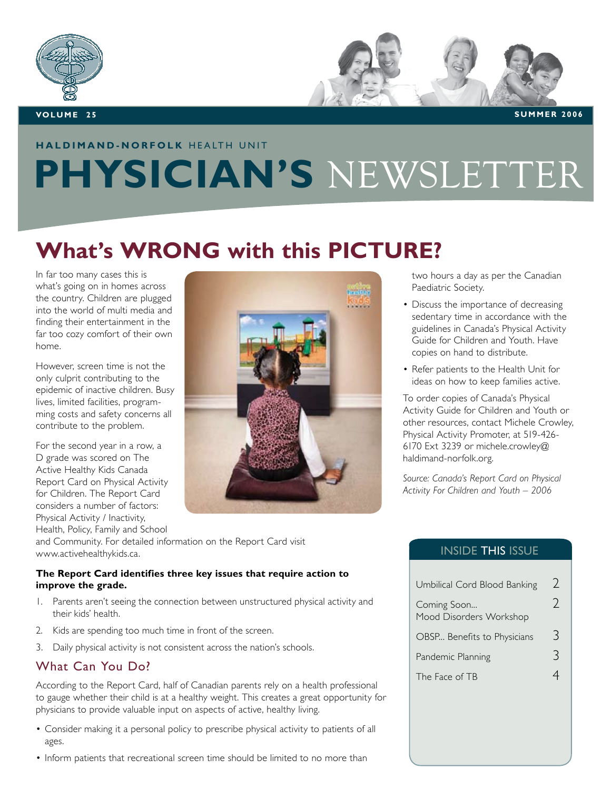

## **HALDIMAND-NORFOLK HEALTH UNIT PHYSICIAN'S** NEWSLETTER

## **What's WRONG with this PICTURE?**

In far too many cases this is what's going on in homes across the country. Children are plugged into the world of multi media and finding their entertainment in the far too cozy comfort of their own home.

However, screen time is not the only culprit contributing to the epidemic of inactive children. Busy lives, limited facilities, programming costs and safety concerns all contribute to the problem.

For the second year in a row, a D grade was scored on The Active Healthy Kids Canada Report Card on Physical Activity for Children. The Report Card considers a number of factors: Physical Activity / Inactivity, Health, Policy, Family and School



and Community. For detailed information on the Report Card visit www.activehealthykids.ca.

### **The Report Card identifies three key issues that require action to improve the grade.**

- I. Parents aren't seeing the connection between unstructured physical activity and their kids' health.
- 2. Kids are spending too much time in front of the screen.
- 3. Daily physical activity is not consistent across the nation's schools.

### What Can You Do?

According to the Report Card, half of Canadian parents rely on a health professional to gauge whether their child is at a healthy weight. This creates a great opportunity for physicians to provide valuable input on aspects of active, healthy living.

- Consider making it a personal policy to prescribe physical activity to patients of all ages.
- Inform patients that recreational screen time should be limited to no more than

two hours a day as per the Canadian Paediatric Society.

- Discuss the importance of decreasing sedentary time in accordance with the guidelines in Canada's Physical Activity Guide for Children and Youth. Have copies on hand to distribute.
- Refer patients to the Health Unit for ideas on how to keep families active.

To order copies of Canada's Physical Activity Guide for Children and Youth or other resources, contact Michele Crowley, Physical Activity Promoter, at 519-426- 6170 Ext 3239 or michele.crowley@ haldimand-norfolk.org.

*Source: Canada's Report Card on Physical Activity For Children and Youth – 2006* 

### INSIDE THIS ISSUE

| Umbilical Cord Blood Banking           |  |
|----------------------------------------|--|
| Coming Soon<br>Mood Disorders Workshop |  |
| OBSP Benefits to Physicians            |  |
| Pandemic Planning                      |  |
| The Face of TB                         |  |
|                                        |  |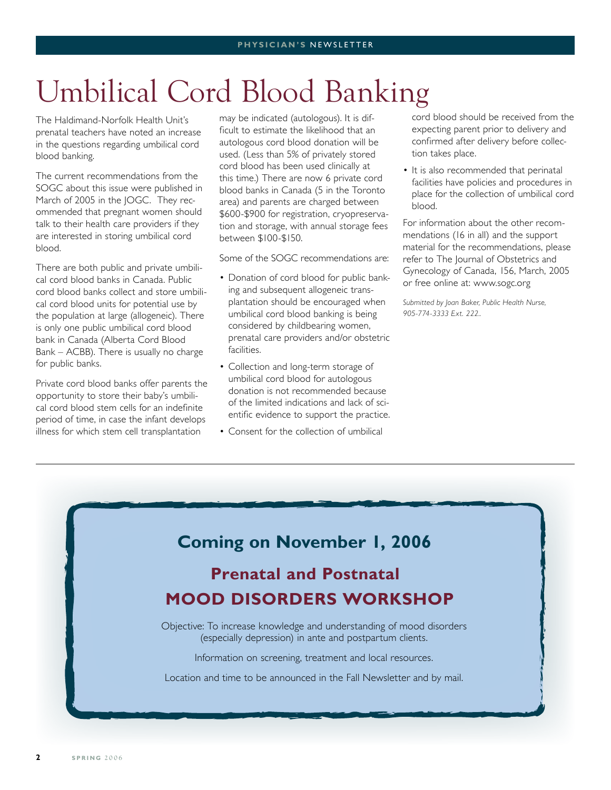# Umbilical Cord Blood Banking

The Haldimand-Norfolk Health Unit's prenatal teachers have noted an increase in the questions regarding umbilical cord blood banking.

The current recommendations from the SOGC about this issue were published in March of 2005 in the JOGC. They recommended that pregnant women should talk to their health care providers if they are interested in storing umbilical cord blood.

There are both public and private umbilical cord blood banks in Canada. Public cord blood banks collect and store umbilical cord blood units for potential use by the population at large (allogeneic). There is only one public umbilical cord blood bank in Canada (Alberta Cord Blood Bank – ACBB). There is usually no charge for public banks.

Private cord blood banks offer parents the opportunity to store their baby's umbilical cord blood stem cells for an indefinite period of time, in case the infant develops illness for which stem cell transplantation

may be indicated (autologous). It is difficult to estimate the likelihood that an autologous cord blood donation will be used. (Less than 5% of privately stored cord blood has been used clinically at this time.) There are now 6 private cord blood banks in Canada (5 in the Toronto area) and parents are charged between \$600-\$900 for registration, cryopreservation and storage, with annual storage fees between \$100-\$150.

Some of the SOGC recommendations are:

- Donation of cord blood for public banking and subsequent allogeneic transplantation should be encouraged when umbilical cord blood banking is being considered by childbearing women, prenatal care providers and/or obstetric facilities.
- Collection and long-term storage of umbilical cord blood for autologous donation is not recommended because of the limited indications and lack of scientific evidence to support the practice.
- Consent for the collection of umbilical •

cord blood should be received from the expecting parent prior to delivery and confirmed after delivery before collection takes place.

• It is also recommended that perinatal facilities have policies and procedures in place for the collection of umbilical cord blood.

For information about the other recommendations (16 in all) and the support material for the recommendations, please refer to The Journal of Obstetrics and Gynecology of Canada, 156, March, 2005 or free online at: www.sogc.org

*Submitted by Joan Baker, Public Health Nurse, 905-774-3333 Ext. 222..*

### **Coming on November 1, 2006**

## **Prenatal and Postnatal MOOD DISORDERS WORKSHOP**

Objective: To increase knowledge and understanding of mood disorders (especially depression) in ante and postpartum clients.

Information on screening, treatment and local resources.

Location and time to be announced in the Fall Newsletter and by mail.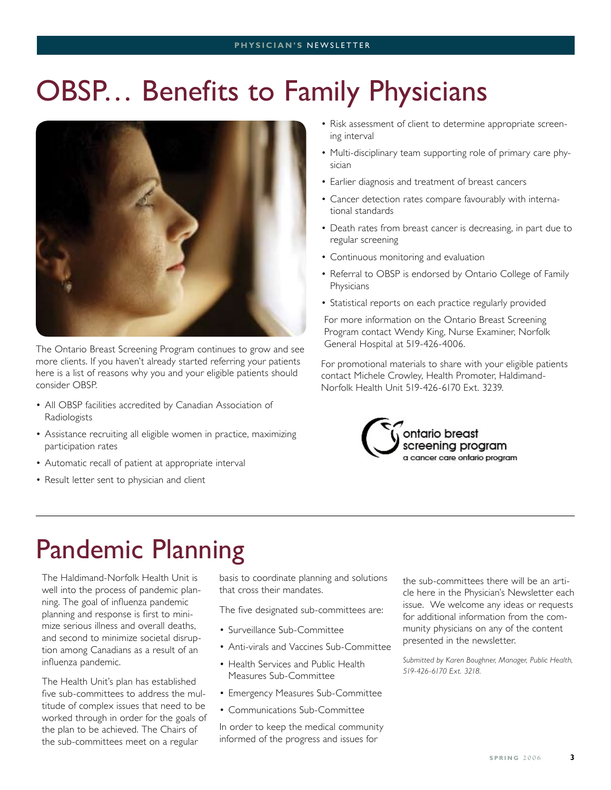# OBSP… Benefits to Family Physicians



The Ontario Breast Screening Program continues to grow and see more clients. If you haven't already started referring your patients here is a list of reasons why you and your eligible patients should consider OBSP.

- All OBSP facilities accredited by Canadian Association of Radiologists
- Assistance recruiting all eligible women in practice, maximizing participation rates
- Automatic recall of patient at appropriate interval
- Result letter sent to physician and client
- Risk assessment of client to determine appropriate screening interval
- Multi-disciplinary team supporting role of primary care physician
- Earlier diagnosis and treatment of breast cancers
- Cancer detection rates compare favourably with interna-• tional standards
- Death rates from breast cancer is decreasing, in part due to regular screening
- Continuous monitoring and evaluation •
- Referral to OBSP is endorsed by Ontario College of Family Physicians
- Statistical reports on each practice regularly provided

For more information on the Ontario Breast Screening Program contact Wendy King, Nurse Examiner, Norfolk General Hospital at 519-426-4006.

For promotional materials to share with your eligible patients contact Michele Crowley, Health Promoter, Haldimand-Norfolk Health Unit 519-426-6170 Ext. 3239.



## Pandemic Planning

The Haldimand-Norfolk Health Unit is well into the process of pandemic planning. The goal of influenza pandemic planning and response is first to minimize serious illness and overall deaths, and second to minimize societal disruption among Canadians as a result of an influenza pandemic.

The Health Unit's plan has established five sub-committees to address the multitude of complex issues that need to be worked through in order for the goals of the plan to be achieved. The Chairs of the sub-committees meet on a regular

basis to coordinate planning and solutions that cross their mandates.

The five designated sub-committees are:

- Surveillance Sub-Committee
- Anti-virals and Vaccines Sub-Committee •
- Health Services and Public Health Measures Sub-Committee
- Emergency Measures Sub-Committee
- Communications Sub-Committee •

In order to keep the medical community informed of the progress and issues for

the sub-committees there will be an article here in the Physician's Newsletter each issue. We welcome any ideas or requests for additional information from the community physicians on any of the content presented in the newsletter.

*Submitted by Karen Boughner, Manager, Public Health, 519-426-6170 Ext. 3218.*